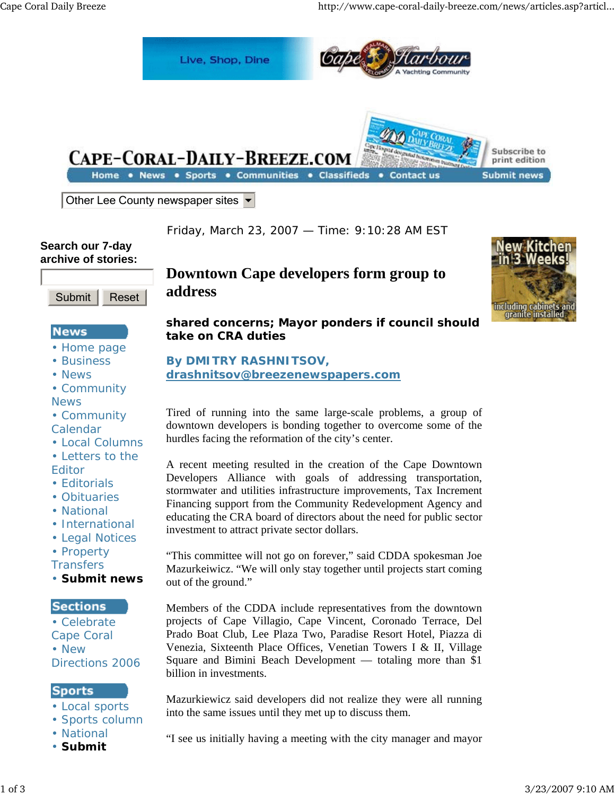

Other Lee County newspaper sites  $\blacktriangleright$ 

Friday, March 23, 2007 — Time: 9:10:28 AM EST

#### **Search our 7-day archive of stories:**



# **News**

- Home page
- Business
- News

• Community **News** 

- Community Calendar
- Local Columns
- Letters to the Editor
- Editorials
- Obituaries
- National
- International
- Legal Notices
- Property

**Transfers** 

• **Submit news**

## **Sections**

• Celebrate Cape Coral • New Directions 2006

## **Sports**

- Local sports
- Sports column
- National
- **Submit**

# **Downtown Cape developers form group to address**



**shared concerns; Mayor ponders if council should take on CRA duties**

## **By DMITRY RASHNITSOV, drashnitsov@breezenewspapers.com**

Tired of running into the same large-scale problems, a group of downtown developers is bonding together to overcome some of the hurdles facing the reformation of the city's center.

A recent meeting resulted in the creation of the Cape Downtown Developers Alliance with goals of addressing transportation, stormwater and utilities infrastructure improvements, Tax Increment Financing support from the Community Redevelopment Agency and educating the CRA board of directors about the need for public sector investment to attract private sector dollars.

"This committee will not go on forever," said CDDA spokesman Joe Mazurkeiwicz. "We will only stay together until projects start coming out of the ground."

Members of the CDDA include representatives from the downtown projects of Cape Villagio, Cape Vincent, Coronado Terrace, Del Prado Boat Club, Lee Plaza Two, Paradise Resort Hotel, Piazza di Venezia, Sixteenth Place Offices, Venetian Towers I & II, Village Square and Bimini Beach Development — totaling more than \$1 billion in investments.

Mazurkiewicz said developers did not realize they were all running into the same issues until they met up to discuss them.

"I see us initially having a meeting with the city manager and mayor